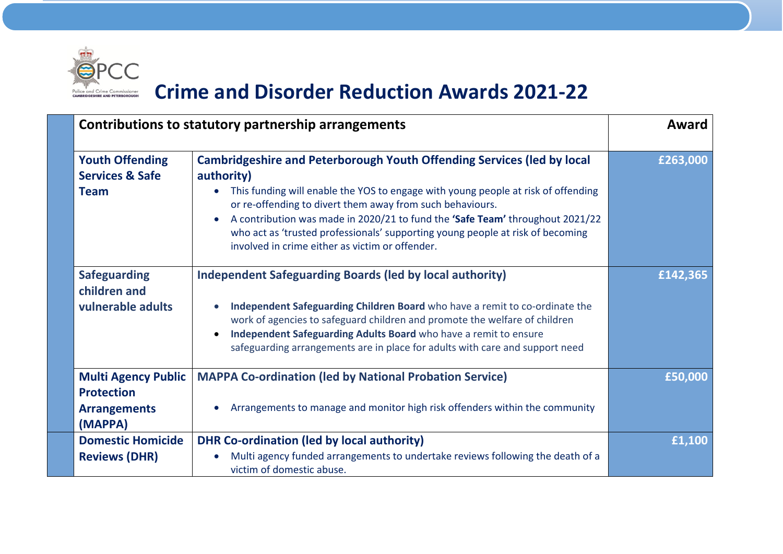

## **Crime and Disorder Reduction Awards 2021-22**

|                                                 | Contributions to statutory partnership arrangements                                                                                                                                                                                                                                                                        |          |
|-------------------------------------------------|----------------------------------------------------------------------------------------------------------------------------------------------------------------------------------------------------------------------------------------------------------------------------------------------------------------------------|----------|
| <b>Youth Offending</b>                          | <b>Cambridgeshire and Peterborough Youth Offending Services (led by local</b>                                                                                                                                                                                                                                              | £263,000 |
| <b>Services &amp; Safe</b>                      | authority)                                                                                                                                                                                                                                                                                                                 |          |
| <b>Team</b>                                     | This funding will enable the YOS to engage with young people at risk of offending<br>$\bullet$<br>or re-offending to divert them away from such behaviours.                                                                                                                                                                |          |
|                                                 | A contribution was made in 2020/21 to fund the 'Safe Team' throughout 2021/22<br>$\bullet$<br>who act as 'trusted professionals' supporting young people at risk of becoming<br>involved in crime either as victim or offender.                                                                                            |          |
| <b>Safeguarding</b><br>children and             | <b>Independent Safeguarding Boards (led by local authority)</b>                                                                                                                                                                                                                                                            | £142,365 |
| vulnerable adults                               | Independent Safeguarding Children Board who have a remit to co-ordinate the<br>$\bullet$<br>work of agencies to safeguard children and promote the welfare of children<br>Independent Safeguarding Adults Board who have a remit to ensure<br>safeguarding arrangements are in place for adults with care and support need |          |
| <b>Multi Agency Public</b><br><b>Protection</b> | <b>MAPPA Co-ordination (led by National Probation Service)</b>                                                                                                                                                                                                                                                             | £50,000  |
| <b>Arrangements</b><br>(MAPPA)                  | Arrangements to manage and monitor high risk offenders within the community                                                                                                                                                                                                                                                |          |
| <b>Domestic Homicide</b>                        | <b>DHR Co-ordination (led by local authority)</b>                                                                                                                                                                                                                                                                          | £1,100   |
| <b>Reviews (DHR)</b>                            | Multi agency funded arrangements to undertake reviews following the death of a<br>victim of domestic abuse.                                                                                                                                                                                                                |          |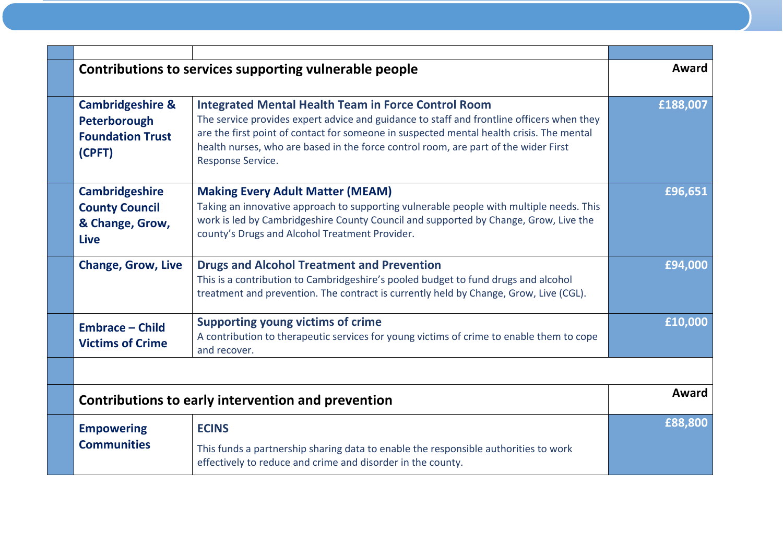| Contributions to services supporting vulnerable people                           |                                                                                                                                                                                                                                                                                                                                                                 | Award    |
|----------------------------------------------------------------------------------|-----------------------------------------------------------------------------------------------------------------------------------------------------------------------------------------------------------------------------------------------------------------------------------------------------------------------------------------------------------------|----------|
| <b>Cambridgeshire &amp;</b><br>Peterborough<br><b>Foundation Trust</b><br>(CPFT) | <b>Integrated Mental Health Team in Force Control Room</b><br>The service provides expert advice and guidance to staff and frontline officers when they<br>are the first point of contact for someone in suspected mental health crisis. The mental<br>health nurses, who are based in the force control room, are part of the wider First<br>Response Service. | £188,007 |
| <b>Cambridgeshire</b><br><b>County Council</b><br>& Change, Grow,<br><b>Live</b> | <b>Making Every Adult Matter (MEAM)</b><br>Taking an innovative approach to supporting vulnerable people with multiple needs. This<br>work is led by Cambridgeshire County Council and supported by Change, Grow, Live the<br>county's Drugs and Alcohol Treatment Provider.                                                                                    | £96,651  |
| <b>Change, Grow, Live</b>                                                        | <b>Drugs and Alcohol Treatment and Prevention</b><br>This is a contribution to Cambridgeshire's pooled budget to fund drugs and alcohol<br>treatment and prevention. The contract is currently held by Change, Grow, Live (CGL).                                                                                                                                | £94,000  |
| <b>Embrace - Child</b><br><b>Victims of Crime</b>                                | <b>Supporting young victims of crime</b><br>A contribution to therapeutic services for young victims of crime to enable them to cope<br>and recover.                                                                                                                                                                                                            | £10,000  |
|                                                                                  |                                                                                                                                                                                                                                                                                                                                                                 |          |
| Contributions to early intervention and prevention                               |                                                                                                                                                                                                                                                                                                                                                                 | Award    |
| <b>Empowering</b><br><b>Communities</b>                                          | <b>ECINS</b><br>This funds a partnership sharing data to enable the responsible authorities to work<br>effectively to reduce and crime and disorder in the county.                                                                                                                                                                                              | £88,800  |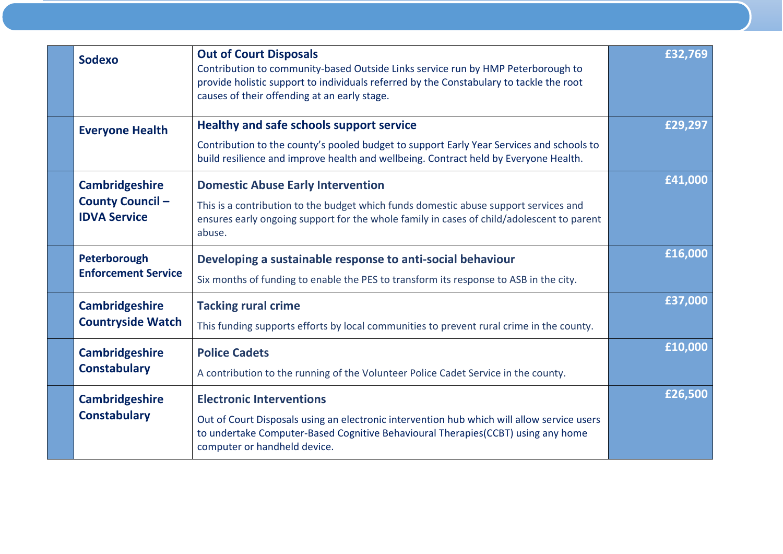| <b>Sodexo</b>                                                           | <b>Out of Court Disposals</b><br>Contribution to community-based Outside Links service run by HMP Peterborough to<br>provide holistic support to individuals referred by the Constabulary to tackle the root<br>causes of their offending at an early stage. | £32,769 |
|-------------------------------------------------------------------------|--------------------------------------------------------------------------------------------------------------------------------------------------------------------------------------------------------------------------------------------------------------|---------|
| <b>Everyone Health</b>                                                  | <b>Healthy and safe schools support service</b><br>Contribution to the county's pooled budget to support Early Year Services and schools to<br>build resilience and improve health and wellbeing. Contract held by Everyone Health.                          | £29,297 |
| <b>Cambridgeshire</b><br><b>County Council -</b><br><b>IDVA Service</b> | <b>Domestic Abuse Early Intervention</b><br>This is a contribution to the budget which funds domestic abuse support services and<br>ensures early ongoing support for the whole family in cases of child/adolescent to parent<br>abuse.                      | £41,000 |
| Peterborough<br><b>Enforcement Service</b>                              | Developing a sustainable response to anti-social behaviour<br>Six months of funding to enable the PES to transform its response to ASB in the city.                                                                                                          | £16,000 |
| <b>Cambridgeshire</b><br><b>Countryside Watch</b>                       | <b>Tacking rural crime</b><br>This funding supports efforts by local communities to prevent rural crime in the county.                                                                                                                                       | £37,000 |
| <b>Cambridgeshire</b><br><b>Constabulary</b>                            | <b>Police Cadets</b><br>A contribution to the running of the Volunteer Police Cadet Service in the county.                                                                                                                                                   | £10,000 |
| <b>Cambridgeshire</b><br><b>Constabulary</b>                            | <b>Electronic Interventions</b><br>Out of Court Disposals using an electronic intervention hub which will allow service users<br>to undertake Computer-Based Cognitive Behavioural Therapies (CCBT) using any home<br>computer or handheld device.           | £26,500 |